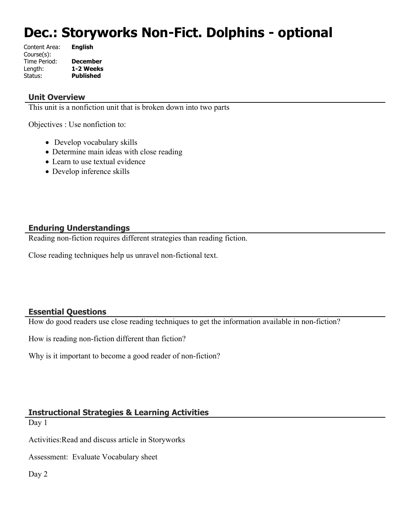# **Dec.: Storyworks Non-Fict. Dolphins - optional**

| Content Area: | <b>English</b>   |
|---------------|------------------|
| Course(s):    |                  |
| Time Period:  | <b>December</b>  |
| Length:       | 1-2 Weeks        |
| Status:       | <b>Published</b> |
|               |                  |

#### **Unit Overview**

This unit is a nonfiction unit that is broken down into two parts

Objectives : Use nonfiction to:

- Develop vocabulary skills
- Determine main ideas with close reading
- Learn to use textual evidence
- Develop inference skills

## **Enduring Understandings**

Reading non-fiction requires different strategies than reading fiction.

Close reading techniques help us unravel non-fictional text.

## **Essential Questions**

How do good readers use close reading techniques to get the information available in non-fiction?

How is reading non-fiction different than fiction?

Why is it important to become a good reader of non-fiction?

## **Instructional Strategies & Learning Activities**

Day 1

Activities:Read and discuss article in Storyworks

Assessment: Evaluate Vocabulary sheet

Day 2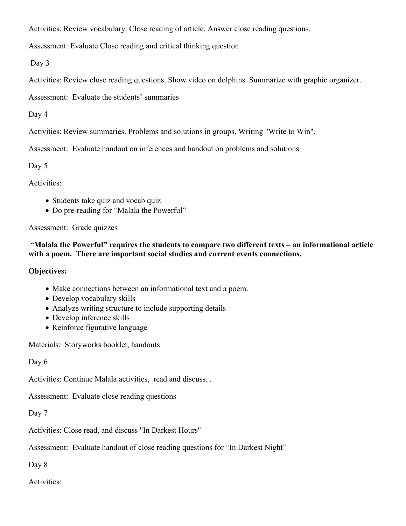Activities: Review vocabulary. Close reading of article. Answer close reading questions.

Assessment: Evaluate Close reading and critical thinking question.

Day 3

Activities: Review close reading questions. Show video on dolphins. Summarize with graphic organizer.

Assessment: Evaluate the students' summaries

Day 4

Activities: Review summaries. Problems and solutions in groups, Writing "Write to Win".

Assessment: Evaluate handout on inferences and handout on problems and solutions

Day 5

Activities:

- Students take quiz and vocab quiz
- Do pre-reading for "Malala the Powerful"

Assessment: Grade quizzes

#### "**Malala the Powerful" requires the students to compare two different texts – an informational article with a poem. There are important social studies and current events connections.**

## **Objectives:**

- Make connections between an informational text and a poem.
- Develop vocabulary skills
- Analyze writing structure to include supporting details
- Develop inference skills
- Reinforce figurative language

Materials: Storyworks booklet, handouts

Day 6

Activities: Continue Malala activities, read and discuss. .

Assessment: Evaluate close reading questions

Day 7

Activities: Close read, and discuss "In Darkest Hours"

Assessment: Evaluate handout of close reading questions for "In Darkest Night"

Day 8

Activities: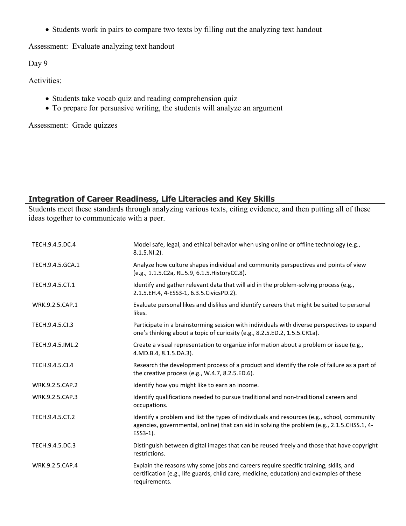• Students work in pairs to compare two texts by filling out the analyzing text handout

Assessment: Evaluate analyzing text handout

Day 9

Activities:

- Students take vocab quiz and reading comprehension quiz
- To prepare for persuasive writing, the students will analyze an argument

Assessment: Grade quizzes

## **Integration of Career Readiness, Life Literacies and Key Skills**

Students meet these standards through analyzing various texts, citing evidence, and then putting all of these ideas together to communicate with a peer.

| TECH.9.4.5.DC.4  | Model safe, legal, and ethical behavior when using online or offline technology (e.g.,<br>$8.1.5.NI.2$ ).                                                                                              |
|------------------|--------------------------------------------------------------------------------------------------------------------------------------------------------------------------------------------------------|
| TECH.9.4.5.GCA.1 | Analyze how culture shapes individual and community perspectives and points of view<br>(e.g., 1.1.5.C2a, RL.5.9, 6.1.5. HistoryCC.8).                                                                  |
| TECH.9.4.5.CT.1  | Identify and gather relevant data that will aid in the problem-solving process (e.g.,<br>2.1.5.EH.4, 4-ESS3-1, 6.3.5.CivicsPD.2).                                                                      |
| WRK.9.2.5.CAP.1  | Evaluate personal likes and dislikes and identify careers that might be suited to personal<br>likes.                                                                                                   |
| TECH.9.4.5.Cl.3  | Participate in a brainstorming session with individuals with diverse perspectives to expand<br>one's thinking about a topic of curiosity (e.g., 8.2.5.ED.2, 1.5.5.CR1a).                               |
| TECH.9.4.5.IML.2 | Create a visual representation to organize information about a problem or issue (e.g.,<br>4.MD.B.4, 8.1.5.DA.3).                                                                                       |
| TECH.9.4.5.CI.4  | Research the development process of a product and identify the role of failure as a part of<br>the creative process (e.g., W.4.7, 8.2.5.ED.6).                                                         |
| WRK.9.2.5.CAP.2  | Identify how you might like to earn an income.                                                                                                                                                         |
| WRK.9.2.5.CAP.3  | Identify qualifications needed to pursue traditional and non-traditional careers and<br>occupations.                                                                                                   |
| TECH.9.4.5.CT.2  | Identify a problem and list the types of individuals and resources (e.g., school, community<br>agencies, governmental, online) that can aid in solving the problem (e.g., 2.1.5.CHSS.1, 4-<br>ESS3-1). |
| TECH.9.4.5.DC.3  | Distinguish between digital images that can be reused freely and those that have copyright<br>restrictions.                                                                                            |
| WRK.9.2.5.CAP.4  | Explain the reasons why some jobs and careers require specific training, skills, and<br>certification (e.g., life guards, child care, medicine, education) and examples of these<br>requirements.      |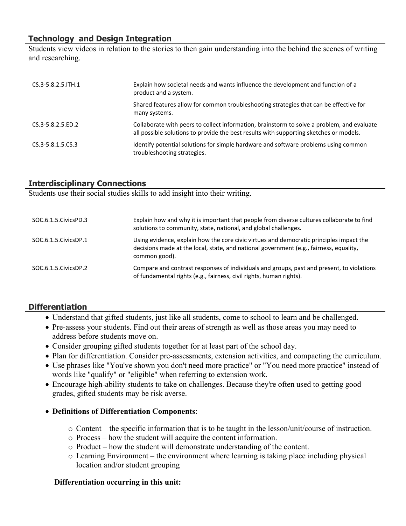## **Technology and Design Integration**

Students view videos in relation to the stories to then gain understanding into the behind the scenes of writing and researching.

| $CS.3-5.8.2.5.$ ITH.1 | Explain how societal needs and wants influence the development and function of a<br>product and a system.                                                                            |
|-----------------------|--------------------------------------------------------------------------------------------------------------------------------------------------------------------------------------|
|                       | Shared features allow for common troubleshooting strategies that can be effective for<br>many systems.                                                                               |
| CS.3-5.8.2.5.ED.2     | Collaborate with peers to collect information, brainstorm to solve a problem, and evaluate<br>all possible solutions to provide the best results with supporting sketches or models. |
| CS.3-5.8.1.5.CS.3     | Identify potential solutions for simple hardware and software problems using common<br>troubleshooting strategies.                                                                   |

## **Interdisciplinary Connections**

Students use their social studies skills to add insight into their writing.

| SOC.6.1.5. Civics PD.3 | Explain how and why it is important that people from diverse cultures collaborate to find<br>solutions to community, state, national, and global challenges.                                       |
|------------------------|----------------------------------------------------------------------------------------------------------------------------------------------------------------------------------------------------|
| SOC.6.1.5. Civics DP.1 | Using evidence, explain how the core civic virtues and democratic principles impact the<br>decisions made at the local, state, and national government (e.g., fairness, equality,<br>common good). |
| SOC.6.1.5. Civics DP.2 | Compare and contrast responses of individuals and groups, past and present, to violations<br>of fundamental rights (e.g., fairness, civil rights, human rights).                                   |

## **Differentiation**

- Understand that gifted students, just like all students, come to school to learn and be challenged.
- Pre-assess your students. Find out their areas of strength as well as those areas you may need to address before students move on.
- Consider grouping gifted students together for at least part of the school day.
- Plan for differentiation. Consider pre-assessments, extension activities, and compacting the curriculum.
- Use phrases like "You've shown you don't need more practice" or "You need more practice" instead of words like "qualify" or "eligible" when referring to extension work.
- Encourage high-ability students to take on challenges. Because they're often used to getting good grades, gifted students may be risk averse.

#### **Definitions of Differentiation Components**:

- $\circ$  Content the specific information that is to be taught in the lesson/unit/course of instruction.
- o Process how the student will acquire the content information.
- o Product how the student will demonstrate understanding of the content.
- o Learning Environment the environment where learning is taking place including physical location and/or student grouping

#### **Differentiation occurring in this unit:**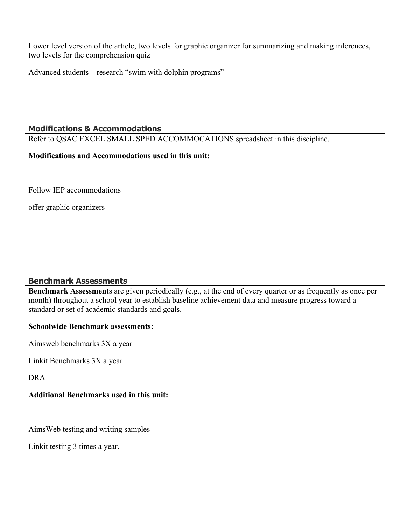Lower level version of the article, two levels for graphic organizer for summarizing and making inferences, two levels for the comprehension quiz

Advanced students – research "swim with dolphin programs"

## **Modifications & Accommodations**

Refer to QSAC EXCEL SMALL SPED ACCOMMOCATIONS spreadsheet in this discipline.

#### **Modifications and Accommodations used in this unit:**

Follow IEP accommodations

offer graphic organizers

## **Benchmark Assessments**

**Benchmark Assessments** are given periodically (e.g., at the end of every quarter or as frequently as once per month) throughout a school year to establish baseline achievement data and measure progress toward a standard or set of academic standards and goals.

## **Schoolwide Benchmark assessments:**

Aimsweb benchmarks 3X a year

Linkit Benchmarks 3X a year

DRA

## **Additional Benchmarks used in this unit:**

AimsWeb testing and writing samples

Linkit testing 3 times a year.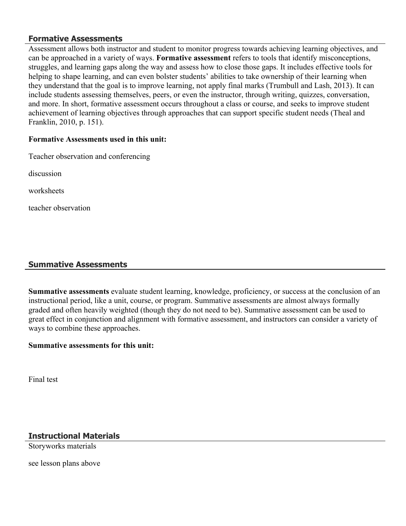#### **Formative Assessments**

Assessment allows both instructor and student to monitor progress towards achieving learning objectives, and can be approached in a variety of ways. **Formative assessment** refers to tools that identify misconceptions, struggles, and learning gaps along the way and assess how to close those gaps. It includes effective tools for helping to shape learning, and can even bolster students' abilities to take ownership of their learning when they understand that the goal is to improve learning, not apply final marks (Trumbull and Lash, 2013). It can include students assessing themselves, peers, or even the instructor, through writing, quizzes, conversation, and more. In short, formative assessment occurs throughout a class or course, and seeks to improve student achievement of learning objectives through approaches that can support specific student needs (Theal and Franklin, 2010, p. 151).

#### **Formative Assessments used in this unit:**

Teacher observation and conferencing

discussion

worksheets

teacher observation

#### **Summative Assessments**

**Summative assessments** evaluate student learning, knowledge, proficiency, or success at the conclusion of an instructional period, like a unit, course, or program. Summative assessments are almost always formally graded and often heavily weighted (though they do not need to be). Summative assessment can be used to great effect in conjunction and alignment with formative assessment, and instructors can consider a variety of ways to combine these approaches.

#### **Summative assessments for this unit:**

Final test

## **Instructional Materials**

Storyworks materials

see lesson plans above